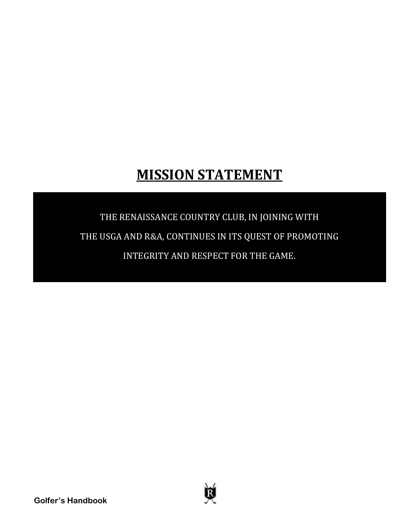# **MISSION STATEMENT**

# THE RENAISSANCE COUNTRY CLUB, IN JOINING WITH THE USGA AND R&A, CONTINUES IN ITS QUEST OF PROMOTING INTEGRITY AND RESPECT FOR THE GAME.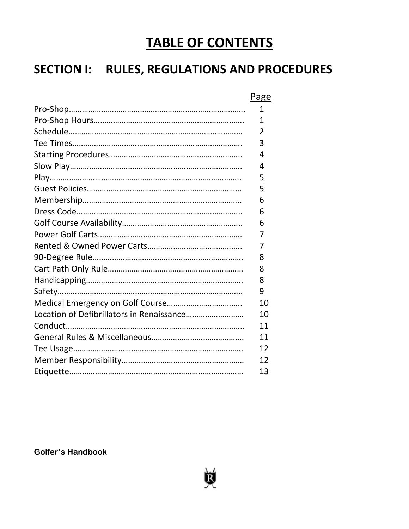# **TABLE OF CONTENTS**

# **SECTION I: RULES, REGULATIONS AND PROCEDURES**

|                                           | Page           |
|-------------------------------------------|----------------|
|                                           | 1              |
|                                           | 1              |
|                                           | $\overline{2}$ |
|                                           | 3              |
|                                           | 4              |
|                                           | 4              |
|                                           | 5              |
|                                           | 5              |
|                                           | 6              |
|                                           | 6              |
|                                           | 6              |
|                                           | 7              |
|                                           | 7              |
|                                           | 8              |
|                                           | 8              |
|                                           | 8              |
|                                           | 9              |
|                                           | 10             |
| Location of Defibrillators in Renaissance | 10             |
|                                           | 11             |
|                                           | 11             |
|                                           | 12             |
|                                           | 12             |
|                                           | 13             |

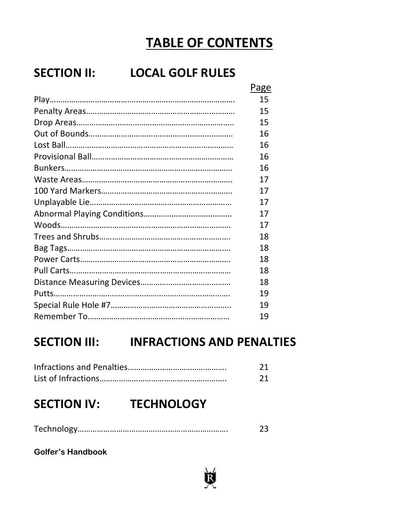# **TABLE OF CONTENTS**

# **SECTION II: LOCAL GOLF RULES**

| Page |
|------|
| 15   |
| 15   |
| 15   |
| 16   |
| 16   |
| 16   |
| 16   |
| 17   |
| 17   |
| 17   |
| 17   |
| 17   |
| 18   |
| 18   |
| 18   |
| 18   |
| 18   |
| 19   |
| 19   |
| 19   |

## **SECTION III: INFRACTIONS AND PENALTIES**

## **SECTION IV: TECHNOLOGY**

|--|--|

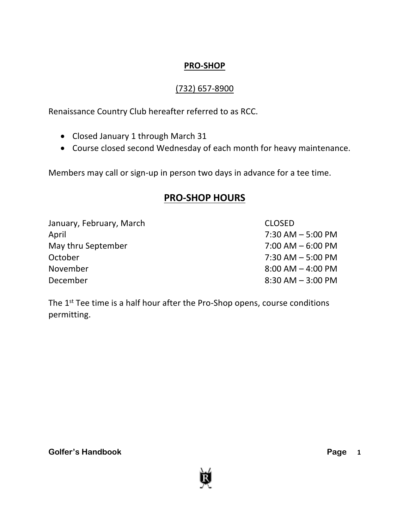### **PRO-SHOP**

### (732) 657-8900

Renaissance Country Club hereafter referred to as RCC.

- Closed January 1 through March 31
- Course closed second Wednesday of each month for heavy maintenance.

Members may call or sign-up in person two days in advance for a tee time.

### **PRO-SHOP HOURS**

| January, February, March | <b>CLOSED</b>         |
|--------------------------|-----------------------|
| April                    | $7:30$ AM $-5:00$ PM  |
| May thru September       | $7:00$ AM $-6:00$ PM  |
| October                  | $7:30$ AM $-5:00$ PM  |
| November                 | $8:00$ AM $-$ 4:00 PM |
| December                 | $8:30$ AM $-3:00$ PM  |

The 1<sup>st</sup> Tee time is a half hour after the Pro-Shop opens, course conditions permitting.

**Golfer's Handbook** 

Page 1

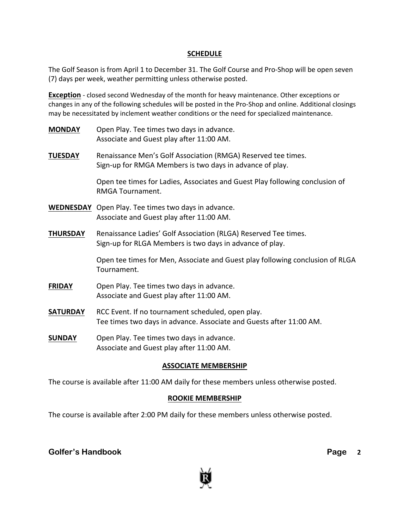#### **SCHEDULE**

The Golf Season is from April 1 to December 31. The Golf Course and Pro-Shop will be open seven (7) days per week, weather permitting unless otherwise posted.

**Exception** - closed second Wednesday of the month for heavy maintenance. Other exceptions or changes in any of the following schedules will be posted in the Pro-Shop and online. Additional closings may be necessitated by inclement weather conditions or the need for specialized maintenance.

- **MONDAY** Open Play. Tee times two days in advance. Associate and Guest play after 11:00 AM.
- **TUESDAY** Renaissance Men's Golf Association (RMGA) Reserved tee times. Sign-up for RMGA Members is two days in advance of play.

Open tee times for Ladies, Associates and Guest Play following conclusion of RMGA Tournament.

- **WEDNESDAY** Open Play. Tee times two days in advance. Associate and Guest play after 11:00 AM.
- **THURSDAY** Renaissance Ladies' Golf Association (RLGA) Reserved Tee times. Sign-up for RLGA Members is two days in advance of play.

Open tee times for Men, Associate and Guest play following conclusion of RLGA Tournament.

- **FRIDAY** Open Play. Tee times two days in advance. Associate and Guest play after 11:00 AM.
- **SATURDAY** RCC Event. If no tournament scheduled, open play. Tee times two days in advance. Associate and Guests after 11:00 AM.
- **SUNDAY** Open Play. Tee times two days in advance. Associate and Guest play after 11:00 AM.

#### **ASSOCIATE MEMBERSHIP**

The course is available after 11:00 AM daily for these members unless otherwise posted.

#### **ROOKIE MEMBERSHIP**

The course is available after 2:00 PM daily for these members unless otherwise posted.

#### **Golfer's Handbook**

Page 2

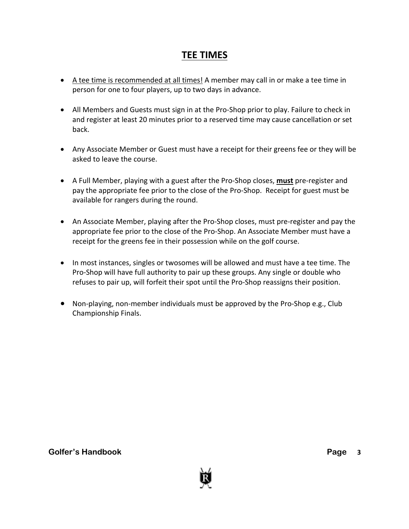### **TEE TIMES**

- A tee time is recommended at all times! A member may call in or make a tee time in person for one to four players, up to two days in advance.
- All Members and Guests must sign in at the Pro-Shop prior to play. Failure to check in and register at least 20 minutes prior to a reserved time may cause cancellation or set back.
- Any Associate Member or Guest must have a receipt for their greens fee or they will be asked to leave the course.
- A Full Member, playing with a guest after the Pro-Shop closes, **must** pre-register and pay the appropriate fee prior to the close of the Pro-Shop. Receipt for guest must be available for rangers during the round.
- An Associate Member, playing after the Pro-Shop closes, must pre-register and pay the appropriate fee prior to the close of the Pro-Shop. An Associate Member must have a receipt for the greens fee in their possession while on the golf course.
- In most instances, singles or twosomes will be allowed and must have a tee time. The Pro-Shop will have full authority to pair up these groups. Any single or double who refuses to pair up, will forfeit their spot until the Pro-Shop reassigns their position.
- Non-playing, non-member individuals must be approved by the Pro-Shop e.g., Club Championship Finals.

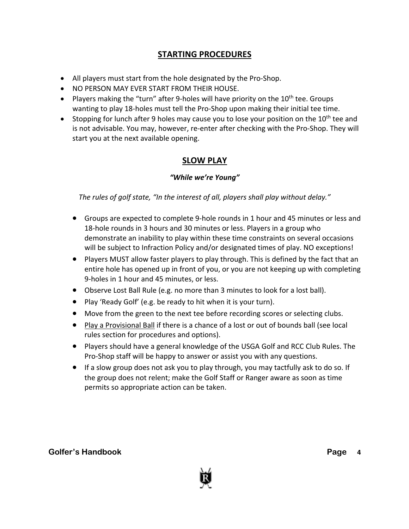### **STARTING PROCEDURES**

- All players must start from the hole designated by the Pro-Shop.
- NO PERSON MAY EVER START FROM THEIR HOUSE.
- Players making the "turn" after 9-holes will have priority on the  $10<sup>th</sup>$  tee. Groups wanting to play 18-holes must tell the Pro-Shop upon making their initial tee time.
- Stopping for lunch after 9 holes may cause you to lose your position on the  $10^{th}$  tee and is not advisable. You may, however, re-enter after checking with the Pro-Shop. They will start you at the next available opening.

### **SLOW PLAY**

#### *"While we're Young"*

*The rules of golf state, "In the interest of all, players shall play without delay."*

- Groups are expected to complete 9-hole rounds in 1 hour and 45 minutes or less and 18-hole rounds in 3 hours and 30 minutes or less. Players in a group who demonstrate an inability to play within these time constraints on several occasions will be subject to Infraction Policy and/or designated times of play. NO exceptions!
- Players MUST allow faster players to play through. This is defined by the fact that an entire hole has opened up in front of you, or you are not keeping up with completing 9-holes in 1 hour and 45 minutes, or less.
- Observe Lost Ball Rule (e.g. no more than 3 minutes to look for a lost ball).
- Play 'Ready Golf' (e.g. be ready to hit when it is your turn).
- Move from the green to the next tee before recording scores or selecting clubs.
- Play a Provisional Ball if there is a chance of a lost or out of bounds ball (see local rules section for procedures and options).
- Players should have a general knowledge of the USGA Golf and RCC Club Rules. The Pro-Shop staff will be happy to answer or assist you with any questions.
- If a slow group does not ask you to play through, you may tactfully ask to do so. If the group does not relent; make the Golf Staff or Ranger aware as soon as time permits so appropriate action can be taken.

#### **Golfer's Handbook** Page **Page 2014**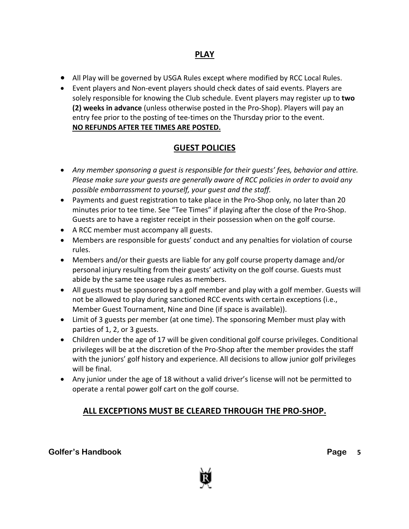### **PLAY**

- All Play will be governed by USGA Rules except where modified by RCC Local Rules.
- Event players and Non-event players should check dates of said events. Players are solely responsible for knowing the Club schedule. Event players may register up to **two (2) weeks in advance** (unless otherwise posted in the Pro-Shop). Players will pay an entry fee prior to the posting of tee-times on the Thursday prior to the event. **NO REFUNDS AFTER TEE TIMES ARE POSTED.**

### **GUEST POLICIES**

- *Any member sponsoring a guest is responsible for their guests' fees, behavior and attire. Please make sure your guests are generally aware of RCC policies in order to avoid any possible embarrassment to yourself, your guest and the staff.*
- Payments and guest registration to take place in the Pro-Shop only*,* no later than 20 minutes prior to tee time. See "Tee Times" if playing after the close of the Pro-Shop. Guests are to have a register receipt in their possession when on the golf course.
- A RCC member must accompany all guests.
- Members are responsible for guests' conduct and any penalties for violation of course rules.
- Members and/or their guests are liable for any golf course property damage and/or personal injury resulting from their guests' activity on the golf course. Guests must abide by the same tee usage rules as members.
- All guests must be sponsored by a golf member and play with a golf member. Guests will not be allowed to play during sanctioned RCC events with certain exceptions (i.e., Member Guest Tournament, Nine and Dine (if space is available)).
- Limit of 3 guests per member (at one time). The sponsoring Member must play with parties of 1, 2, or 3 guests.
- Children under the age of 17 will be given conditional golf course privileges. Conditional privileges will be at the discretion of the Pro-Shop after the member provides the staff with the juniors' golf history and experience. All decisions to allow junior golf privileges will be final.
- Any junior under the age of 18 without a valid driver's license will not be permitted to operate a rental power golf cart on the golf course.

### **ALL EXCEPTIONS MUST BE CLEARED THROUGH THE PRO-SHOP.**

**Golfer's Handbook** 

Page 5

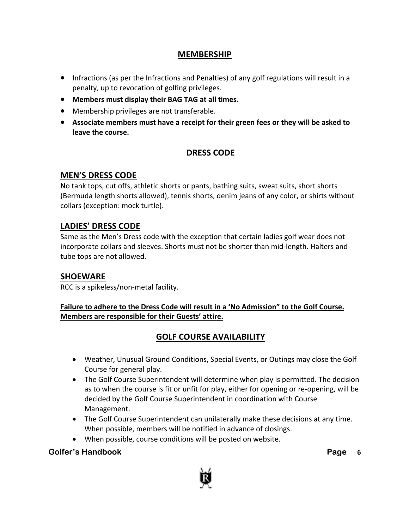### **MEMBERSHIP**

- Infractions (as per the Infractions and Penalties) of any golf regulations will result in a penalty, up to revocation of golfing privileges.
- **Members must display their BAG TAG at all times.**
- Membership privileges are not transferable.
- **Associate members must have a receipt for their green fees or they will be asked to leave the course.**

### **DRESS CODE**

### **MEN'S DRESS CODE**

No tank tops, cut offs, athletic shorts or pants, bathing suits, sweat suits, short shorts (Bermuda length shorts allowed), tennis shorts, denim jeans of any color, or shirts without collars (exception: mock turtle).

### **LADIES' DRESS CODE**

Same as the Men's Dress code with the exception that certain ladies golf wear does not incorporate collars and sleeves. Shorts must not be shorter than mid-length. Halters and tube tops are not allowed.

#### **SHOEWARE**

RCC is a spikeless/non-metal facility.

**Failure to adhere to the Dress Code will result in a 'No Admission" to the Golf Course. Members are responsible for their Guests' attire.**

### **GOLF COURSE AVAILABILITY**

- Weather, Unusual Ground Conditions, Special Events, or Outings may close the Golf Course for general play.
- The Golf Course Superintendent will determine when play is permitted. The decision as to when the course is fit or unfit for play, either for opening or re-opening, will be decided by the Golf Course Superintendent in coordination with Course Management.
- The Golf Course Superintendent can unilaterally make these decisions at any time. When possible, members will be notified in advance of closings.
- When possible, course conditions will be posted on website.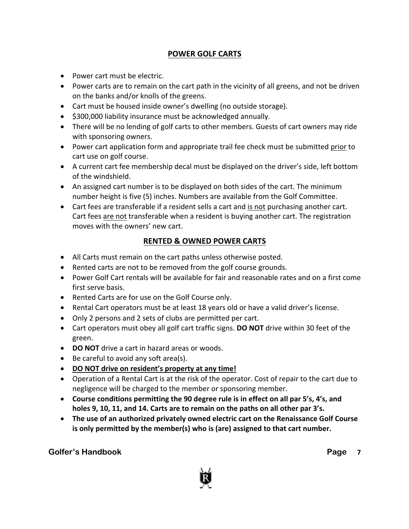### **POWER GOLF CARTS**

- Power cart must be electric.
- Power carts are to remain on the cart path in the vicinity of all greens, and not be driven on the banks and/or knolls of the greens.
- Cart must be housed inside owner's dwelling (no outside storage).
- \$300,000 liability insurance must be acknowledged annually.
- There will be no lending of golf carts to other members. Guests of cart owners may ride with sponsoring owners.
- Power cart application form and appropriate trail fee check must be submitted prior to cart use on golf course.
- A current cart fee membership decal must be displayed on the driver's side, left bottom of the windshield.
- An assigned cart number is to be displayed on both sides of the cart. The minimum number height is five (5) inches. Numbers are available from the Golf Committee.
- Cart fees are transferable if a resident sells a cart and is not purchasing another cart. Cart fees are not transferable when a resident is buying another cart. The registration moves with the owners' new cart.

#### **RENTED & OWNED POWER CARTS**

- All Carts must remain on the cart paths unless otherwise posted.
- Rented carts are not to be removed from the golf course grounds.
- Power Golf Cart rentals will be available for fair and reasonable rates and on a first come first serve basis.
- Rented Carts are for use on the Golf Course only.
- Rental Cart operators must be at least 18 years old or have a valid driver's license.
- Only 2 persons and 2 sets of clubs are permitted per cart.
- Cart operators must obey all golf cart traffic signs. **DO NOT** drive within 30 feet of the green.
- **DO NOT** drive a cart in hazard areas or woods.
- Be careful to avoid any soft area(s).
- **DO NOT drive on resident's property at any time!**
- Operation of a Rental Cart is at the risk of the operator. Cost of repair to the cart due to negligence will be charged to the member or sponsoring member.
- **Course conditions permitting the 90 degree rule is in effect on all par 5's, 4's, and holes 9, 10, 11, and 14. Carts are to remain on the paths on all other par 3's.**
- **The use of an authorized privately owned electric cart on the Renaissance Golf Course is only permitted by the member(s) who is (are) assigned to that cart number.**

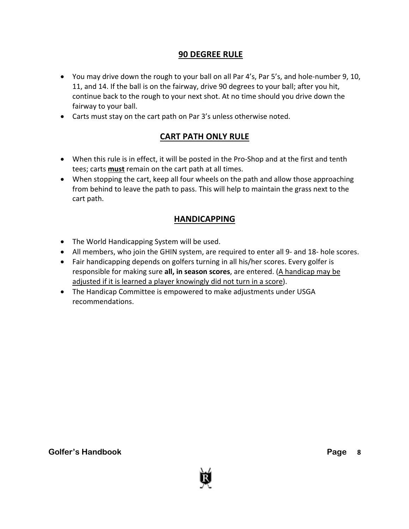### **90 DEGREE RULE**

- You may drive down the rough to your ball on all Par 4's, Par 5's, and hole-number 9, 10, 11, and 14. If the ball is on the fairway, drive 90 degrees to your ball; after you hit, continue back to the rough to your next shot. At no time should you drive down the fairway to your ball.
- Carts must stay on the cart path on Par 3's unless otherwise noted.

### **CART PATH ONLY RULE**

- When this rule is in effect, it will be posted in the Pro-Shop and at the first and tenth tees; carts **must** remain on the cart path at all times.
- When stopping the cart, keep all four wheels on the path and allow those approaching from behind to leave the path to pass. This will help to maintain the grass next to the cart path.

### **HANDICAPPING**

- The World Handicapping System will be used.
- All members, who join the GHIN system, are required to enter all 9- and 18- hole scores.
- Fair handicapping depends on golfers turning in all his/her scores. Every golfer is responsible for making sure **all, in season scores**, are entered. (A handicap may be adjusted if it is learned a player knowingly did not turn in a score).
- The Handicap Committee is empowered to make adjustments under USGA recommendations.

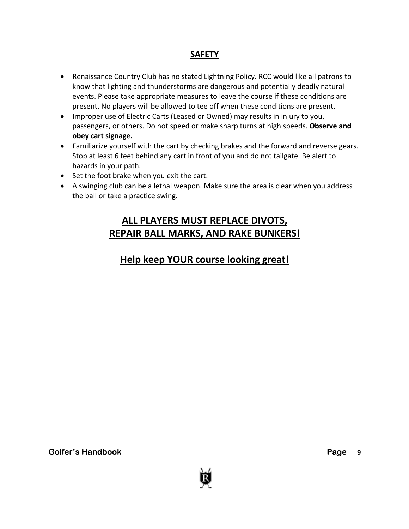### **SAFETY**

- Renaissance Country Club has no stated Lightning Policy. RCC would like all patrons to know that lighting and thunderstorms are dangerous and potentially deadly natural events. Please take appropriate measures to leave the course if these conditions are present. No players will be allowed to tee off when these conditions are present.
- Improper use of Electric Carts (Leased or Owned) may results in injury to you, passengers, or others. Do not speed or make sharp turns at high speeds. **Observe and obey cart signage.**
- Familiarize yourself with the cart by checking brakes and the forward and reverse gears. Stop at least 6 feet behind any cart in front of you and do not tailgate. Be alert to hazards in your path.
- Set the foot brake when you exit the cart.
- A swinging club can be a lethal weapon. Make sure the area is clear when you address the ball or take a practice swing.

### **ALL PLAYERS MUST REPLACE DIVOTS, REPAIR BALL MARKS, AND RAKE BUNKERS!**

### **Help keep YOUR course looking great!**

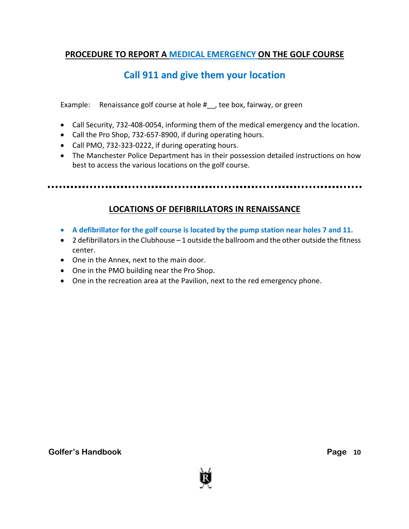### **PROCEDURE TO REPORT A MEDICAL EMERGENCY ON THE GOLF COURSE**

### **Call 911 and give them your location**

Example: Renaissance golf course at hole # , tee box, fairway, or green

- Call Security, 732-408-0054, informing them of the medical emergency and the location.
- Call the Pro Shop, 732-657-8900, if during operating hours.
- Call PMO, 732-323-0222, if during operating hours.
- The Manchester Police Department has in their possession detailed instructions on how best to access the various locations on the golf course.

### **LOCATIONS OF DEFIBRILLATORS IN RENAISSANCE**

- **A defibrillator for the golf course is located by the pump station near holes 7 and 11.**
- $\bullet$  2 defibrillators in the Clubhouse 1 outside the ballroom and the other outside the fitness center.
- One in the Annex, next to the main door.
- One in the PMO building near the Pro Shop.
- One in the recreation area at the Pavilion, next to the red emergency phone.

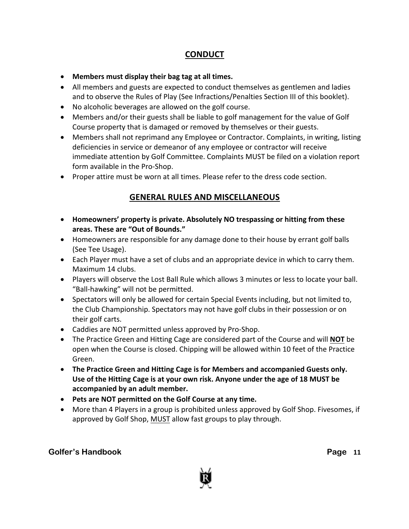### **CONDUCT**

- **Members must display their bag tag at all times.**
- All members and guests are expected to conduct themselves as gentlemen and ladies and to observe the Rules of Play (See Infractions/Penalties Section III of this booklet).
- No alcoholic beverages are allowed on the golf course.
- Members and/or their guests shall be liable to golf management for the value of Golf Course property that is damaged or removed by themselves or their guests.
- Members shall not reprimand any Employee or Contractor. Complaints, in writing, listing deficiencies in service or demeanor of any employee or contractor will receive immediate attention by Golf Committee. Complaints MUST be filed on a violation report form available in the Pro-Shop.
- Proper attire must be worn at all times. Please refer to the dress code section.

### **GENERAL RULES AND MISCELLANEOUS**

- **Homeowners' property is private. Absolutely NO trespassing or hitting from these areas. These are "Out of Bounds."**
- Homeowners are responsible for any damage done to their house by errant golf balls (See Tee Usage).
- Each Player must have a set of clubs and an appropriate device in which to carry them. Maximum 14 clubs.
- Players will observe the Lost Ball Rule which allows 3 minutes or less to locate your ball. "Ball-hawking" will not be permitted.
- Spectators will only be allowed for certain Special Events including, but not limited to, the Club Championship. Spectators may not have golf clubs in their possession or on their golf carts.
- Caddies are NOT permitted unless approved by Pro-Shop.
- The Practice Green and Hitting Cage are considered part of the Course and will **NOT** be open when the Course is closed. Chipping will be allowed within 10 feet of the Practice Green.
- **The Practice Green and Hitting Cage is for Members and accompanied Guests only. Use of the Hitting Cage is at your own risk. Anyone under the age of 18 MUST be accompanied by an adult member.**
- **Pets are NOT permitted on the Golf Course at any time.**
- More than 4 Players in a group is prohibited unless approved by Golf Shop. Fivesomes, if approved by Golf Shop, MUST allow fast groups to play through.

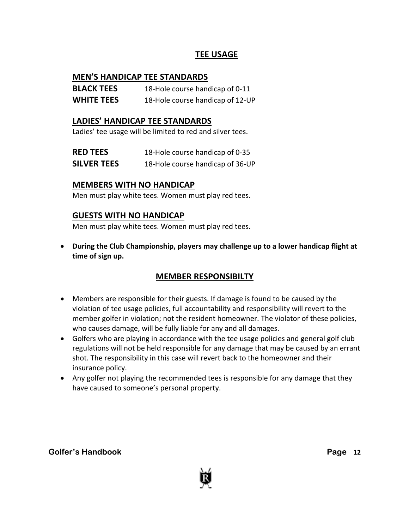### **TEE USAGE**

#### **MEN'S HANDICAP TEE STANDARDS**

| <b>BLACK TEES</b> | 18-Hole course handicap of 0-11  |
|-------------------|----------------------------------|
| <b>WHITE TEES</b> | 18-Hole course handicap of 12-UP |

#### **LADIES' HANDICAP TEE STANDARDS**

Ladies' tee usage will be limited to red and silver tees.

| <b>RED TEES</b>    | 18-Hole course handicap of 0-35  |
|--------------------|----------------------------------|
| <b>SILVER TEES</b> | 18-Hole course handicap of 36-UP |

### **MEMBERS WITH NO HANDICAP**

Men must play white tees. Women must play red tees.

### **GUESTS WITH NO HANDICAP**

Men must play white tees. Women must play red tees.

• **During the Club Championship, players may challenge up to a lower handicap flight at time of sign up.**

### **MEMBER RESPONSIBILTY**

- Members are responsible for their guests. If damage is found to be caused by the violation of tee usage policies, full accountability and responsibility will revert to the member golfer in violation; not the resident homeowner. The violator of these policies, who causes damage, will be fully liable for any and all damages.
- Golfers who are playing in accordance with the tee usage policies and general golf club regulations will not be held responsible for any damage that may be caused by an errant shot. The responsibility in this case will revert back to the homeowner and their insurance policy.
- Any golfer not playing the recommended tees is responsible for any damage that they have caused to someone's personal property.

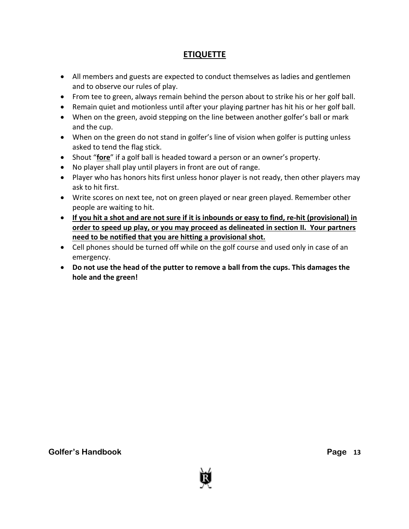### **ETIQUETTE**

- All members and guests are expected to conduct themselves as ladies and gentlemen and to observe our rules of play.
- From tee to green, always remain behind the person about to strike his or her golf ball.
- Remain quiet and motionless until after your playing partner has hit his or her golf ball.
- When on the green, avoid stepping on the line between another golfer's ball or mark and the cup.
- When on the green do not stand in golfer's line of vision when golfer is putting unless asked to tend the flag stick.
- Shout "**fore**" if a golf ball is headed toward a person or an owner's property.
- No player shall play until players in front are out of range.
- Player who has honors hits first unless honor player is not ready, then other players may ask to hit first.
- Write scores on next tee, not on green played or near green played. Remember other people are waiting to hit.
- **If you hit a shot and are not sure if it is inbounds or easy to find, re-hit (provisional) in order to speed up play, or you may proceed as delineated in section II. Your partners need to be notified that you are hitting a provisional shot.**
- Cell phones should be turned off while on the golf course and used only in case of an emergency.
- **Do not use the head of the putter to remove a ball from the cups. This damages the hole and the green!**

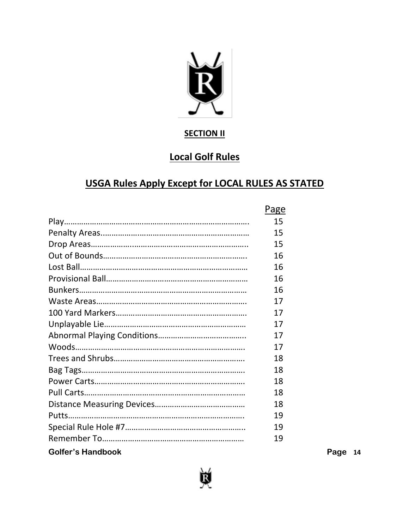

### **SECTION II**

## **Local Golf Rules**

## **USGA Rules Apply Except for LOCAL RULES AS STATED**

|                          | Page |      |
|--------------------------|------|------|
|                          | 15   |      |
|                          | 15   |      |
|                          | 15   |      |
|                          | 16   |      |
|                          | 16   |      |
|                          | 16   |      |
|                          | 16   |      |
|                          | 17   |      |
|                          | 17   |      |
|                          | 17   |      |
|                          | 17   |      |
|                          | 17   |      |
|                          | 18   |      |
|                          | 18   |      |
|                          | 18   |      |
|                          | 18   |      |
|                          | 18   |      |
|                          | 19   |      |
|                          | 19   |      |
|                          | 19   |      |
| <b>Golfer's Handbook</b> |      | Page |



**14**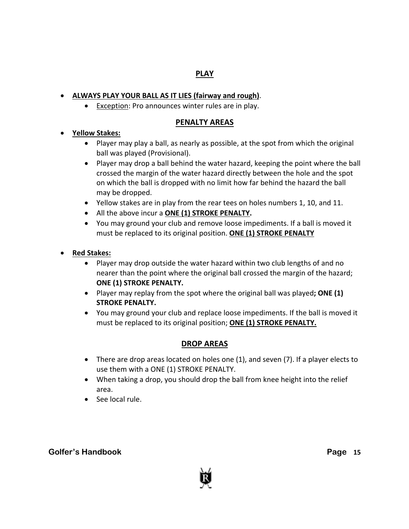#### **PLAY**

#### • **ALWAYS PLAY YOUR BALL AS IT LIES (fairway and rough)**.

• Exception: Pro announces winter rules are in play.

#### **PENALTY AREAS**

#### • **Yellow Stakes:**

- Player may play a ball, as nearly as possible, at the spot from which the original ball was played (Provisional).
- Player may drop a ball behind the water hazard, keeping the point where the ball crossed the margin of the water hazard directly between the hole and the spot on which the ball is dropped with no limit how far behind the hazard the ball may be dropped.
- Yellow stakes are in play from the rear tees on holes numbers 1, 10, and 11.
- All the above incur a **ONE (1) STROKE PENALTY.**
- You may ground your club and remove loose impediments. If a ball is moved it must be replaced to its original position. **ONE (1) STROKE PENALTY**

#### • **Red Stakes:**

- Player may drop outside the water hazard within two club lengths of and no nearer than the point where the original ball crossed the margin of the hazard; **ONE (1) STROKE PENALTY.**
- Player may replay from the spot where the original ball was played**; ONE (1) STROKE PENALTY.**
- You may ground your club and replace loose impediments. If the ball is moved it must be replaced to its original position; **ONE (1) STROKE PENALTY.**

### **DROP AREAS**

- There are drop areas located on holes one (1), and seven (7). If a player elects to use them with a ONE (1) STROKE PENALTY.
- When taking a drop, you should drop the ball from knee height into the relief area.
- See local rule.

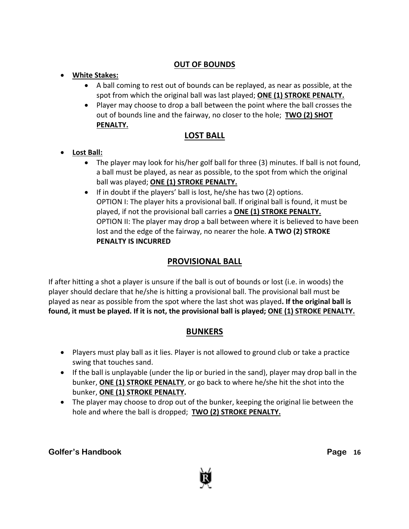### **OUT OF BOUNDS**

- **White Stakes:**
	- A ball coming to rest out of bounds can be replayed, as near as possible, at the spot from which the original ball was last played; **ONE (1) STROKE PENALTY.**
	- Player may choose to drop a ball between the point where the ball crosses the out of bounds line and the fairway, no closer to the hole; **TWO (2) SHOT PENALTY.**

### **LOST BALL**

- **Lost Ball:**
	- The player may look for his/her golf ball for three (3) minutes. If ball is not found, a ball must be played, as near as possible, to the spot from which the original ball was played; **ONE (1) STROKE PENALTY.**
	- If in doubt if the players' ball is lost, he/she has two (2) options. OPTION I: The player hits a provisional ball. If original ball is found, it must be played, if not the provisional ball carries a **ONE (1) STROKE PENALTY.** OPTION II: The player may drop a ball between where it is believed to have been lost and the edge of the fairway, no nearer the hole. **A TWO (2) STROKE PENALTY IS INCURRED**

### **PROVISIONAL BALL**

If after hitting a shot a player is unsure if the ball is out of bounds or lost (i.e. in woods) the player should declare that he/she is hitting a provisional ball. The provisional ball must be played as near as possible from the spot where the last shot was played**. If the original ball is found, it must be played. If it is not, the provisional ball is played; ONE (1) STROKE PENALTY.**

### **BUNKERS**

- Players must play ball as it lies. Player is not allowed to ground club or take a practice swing that touches sand.
- If the ball is unplayable (under the lip or buried in the sand), player may drop ball in the bunker, **ONE (1) STROKE PENALTY**, or go back to where he/she hit the shot into the bunker, **ONE (1) STROKE PENALTY.**
- The player may choose to drop out of the bunker, keeping the original lie between the hole and where the ball is dropped; **TWO (2) STROKE PENALTY.**



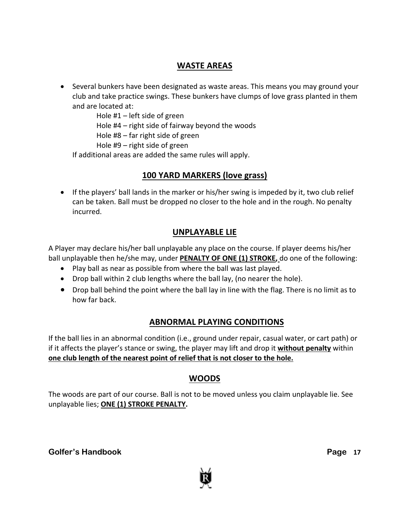### **WASTE AREAS**

• Several bunkers have been designated as waste areas. This means you may ground your club and take practice swings. These bunkers have clumps of love grass planted in them and are located at:

Hole #1 – left side of green

Hole #4 – right side of fairway beyond the woods

Hole #8 – far right side of green

Hole #9 – right side of green

If additional areas are added the same rules will apply.

### **100 YARD MARKERS (love grass)**

• If the players' ball lands in the marker or his/her swing is impeded by it, two club relief can be taken. Ball must be dropped no closer to the hole and in the rough. No penalty incurred.

### **UNPLAYABLE LIE**

A Player may declare his/her ball unplayable any place on the course. If player deems his/her ball unplayable then he/she may, under **PENALTY OF ONE (1) STROKE,** do one of the following:

- Play ball as near as possible from where the ball was last played.
- Drop ball within 2 club lengths where the ball lay, (no nearer the hole).
- Drop ball behind the point where the ball lay in line with the flag. There is no limit as to how far back.

### **ABNORMAL PLAYING CONDITIONS**

If the ball lies in an abnormal condition (i.e., ground under repair, casual water, or cart path) or if it affects the player's stance or swing, the player may lift and drop it **without penalty** within **one club length of the nearest point of relief that is not closer to the hole.**

### **WOODS**

The woods are part of our course. Ball is not to be moved unless you claim unplayable lie. See unplayable lies; **ONE (1) STROKE PENALTY.**



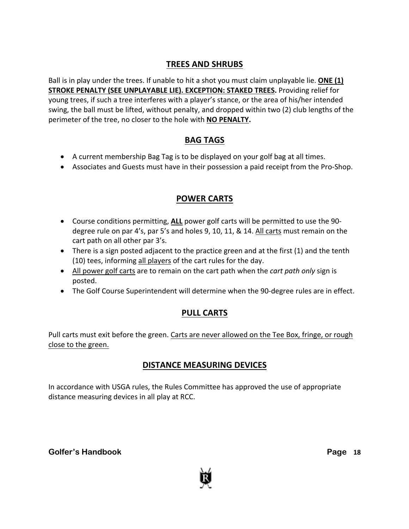### **TREES AND SHRUBS**

Ball is in play under the trees. If unable to hit a shot you must claim unplayable lie. **ONE (1) STROKE PENALTY (SEE UNPLAYABLE LIE). EXCEPTION: STAKED TREES.** Providing relief for young trees, if such a tree interferes with a player's stance, or the area of his/her intended swing, the ball must be lifted, without penalty, and dropped within two (2) club lengths of the perimeter of the tree, no closer to the hole with **NO PENALTY.**

### **BAG TAGS**

- A current membership Bag Tag is to be displayed on your golf bag at all times.
- Associates and Guests must have in their possession a paid receipt from the Pro-Shop.

### **POWER CARTS**

- Course conditions permitting, **ALL** power golf carts will be permitted to use the 90 degree rule on par 4's, par 5's and holes 9, 10, 11, & 14. All carts must remain on the cart path on all other par 3's.
- There is a sign posted adjacent to the practice green and at the first (1) and the tenth (10) tees, informing all players of the cart rules for the day.
- All power golf carts are to remain on the cart path when the *cart path only* sign is posted.
- The Golf Course Superintendent will determine when the 90-degree rules are in effect.

### **PULL CARTS**

Pull carts must exit before the green. Carts are never allowed on the Tee Box, fringe, or rough close to the green.

### **DISTANCE MEASURING DEVICES**

In accordance with USGA rules, the Rules Committee has approved the use of appropriate distance measuring devices in all play at RCC.



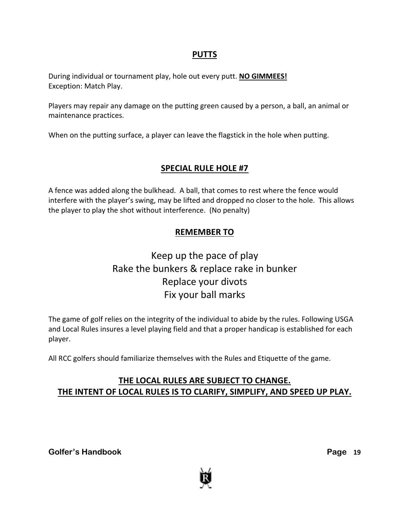#### **PUTTS**

During individual or tournament play, hole out every putt. **NO GIMMEES!** Exception: Match Play.

Players may repair any damage on the putting green caused by a person, a ball, an animal or maintenance practices.

When on the putting surface, a player can leave the flagstick in the hole when putting.

### **SPECIAL RULE HOLE #7**

A fence was added along the bulkhead. A ball, that comes to rest where the fence would interfere with the player's swing, may be lifted and dropped no closer to the hole. This allows the player to play the shot without interference. (No penalty)

### **REMEMBER TO**

### Keep up the pace of play Rake the bunkers & replace rake in bunker Replace your divots Fix your ball marks

The game of golf relies on the integrity of the individual to abide by the rules. Following USGA and Local Rules insures a level playing field and that a proper handicap is established for each player.

All RCC golfers should familiarize themselves with the Rules and Etiquette of the game.

### **THE LOCAL RULES ARE SUBJECT TO CHANGE. THE INTENT OF LOCAL RULES IS TO CLARIFY, SIMPLIFY, AND SPEED UP PLAY.**

**Golfer's Handbook** 

**Page 19** 

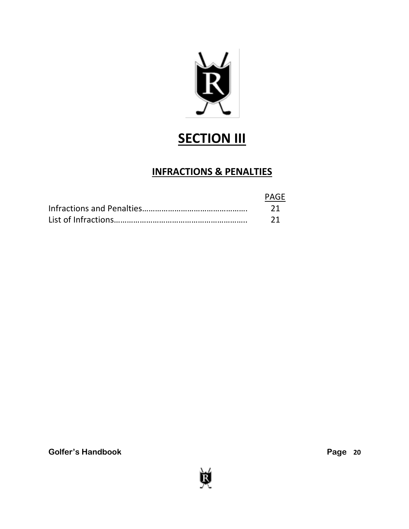

# **SECTION III**

### **INFRACTIONS & PENALTIES**

| PAGE |
|------|
|      |
|      |

**Golfer's Handbook** 

Þ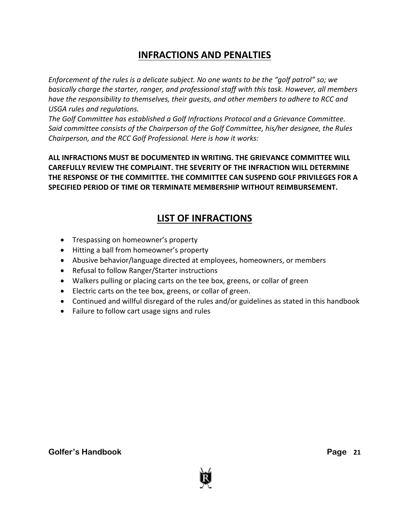### **INFRACTIONS AND PENALTIES**

*Enforcement of the rules is a delicate subject. No one wants to be the "golf patrol" so; we basically charge the starter, ranger, and professional staff with this task. However, all members have the responsibility to themselves, their guests, and other members to adhere to RCC and USGA rules and regulations.*

*The Golf Committee has established a Golf Infractions Protocol and a Grievance Committee. Said committee consists of the Chairperson of the Golf Committee, his/her designee, the Rules Chairperson, and the RCC Golf Professional. Here is how it works:*

**ALL INFRACTIONS MUST BE DOCUMENTED IN WRITING. THE GRIEVANCE COMMITTEE WILL CAREFULLY REVIEW THE COMPLAINT. THE SEVERITY OF THE INFRACTION WILL DETERMINE THE RESPONSE OF THE COMMITTEE. THE COMMITTEE CAN SUSPEND GOLF PRIVILEGES FOR A SPECIFIED PERIOD OF TIME OR TERMINATE MEMBERSHIP WITHOUT REIMBURSEMENT.**

### **LIST OF INFRACTIONS**

- Trespassing on homeowner's property
- Hitting a ball from homeowner's property
- Abusive behavior/language directed at employees, homeowners, or members
- Refusal to follow Ranger/Starter instructions
- Walkers pulling or placing carts on the tee box, greens, or collar of green
- Electric carts on the tee box, greens, or collar of green.
- Continued and willful disregard of the rules and/or guidelines as stated in this handbook
- Failure to follow cart usage signs and rules

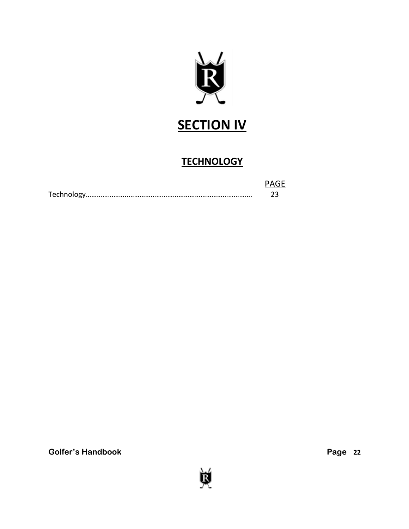

# **SECTION IV**

## **TECHNOLOGY**

| PAGF |
|------|
|      |

**Golfer's Handbook** 

Þ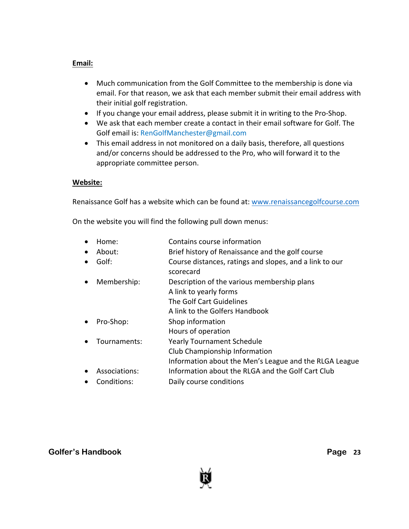#### **Email:**

- Much communication from the Golf Committee to the membership is done via email. For that reason, we ask that each member submit their email address with their initial golf registration.
- If you change your email address, please submit it in writing to the Pro-Shop.
- We ask that each member create a contact in their email software for Golf. The Golf email is: RenGolfManchester@gmail.com
- This email address in not monitored on a daily basis, therefore, all questions and/or concerns should be addressed to the Pro, who will forward it to the appropriate committee person.

#### **Website:**

Renaissance Golf has a website which can be found at: www.renaissancegolfcourse.com

On the website you will find the following pull down menus:

- Home: Contains course information
- About: Brief history of Renaissance and the golf course
- Golf: Course distances, ratings and slopes, and a link to our scorecard
- Membership: Description of the various membership plans
	- A link to yearly forms The Golf Cart Guidelines
	- A link to the Golfers Handbook
- Pro-Shop: Shop information
- Hours of operation
- Tournaments: Yearly Tournament Schedule
- Club Championship Information
- Information about the Men's League and the RLGA League
- Associations: Information about the RLGA and the Golf Cart Club
- Conditions: Daily course conditions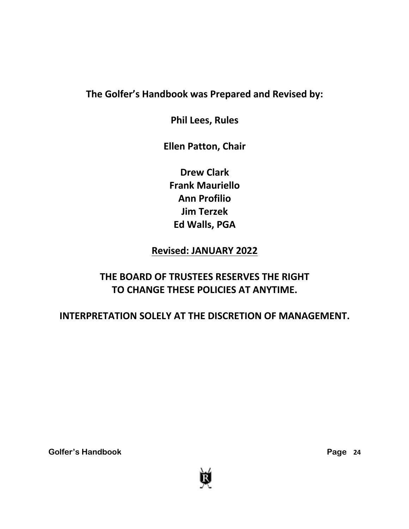### **The Golfer's Handbook was Prepared and Revised by:**

**Phil Lees, Rules**

**Ellen Patton, Chair**

**Drew Clark Frank Mauriello Ann Profilio Jim Terzek Ed Walls, PGA**

**Revised: JANUARY 2022**

## **THE BOARD OF TRUSTEES RESERVES THE RIGHT TO CHANGE THESE POLICIES AT ANYTIME.**

### **INTERPRETATION SOLELY AT THE DISCRETION OF MANAGEMENT.**

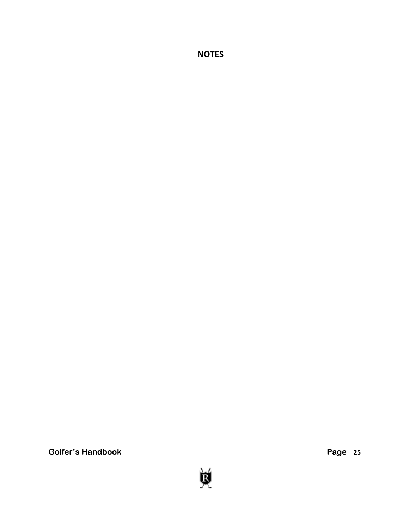**NOTES**

**Golfer's Handbook** 



**25**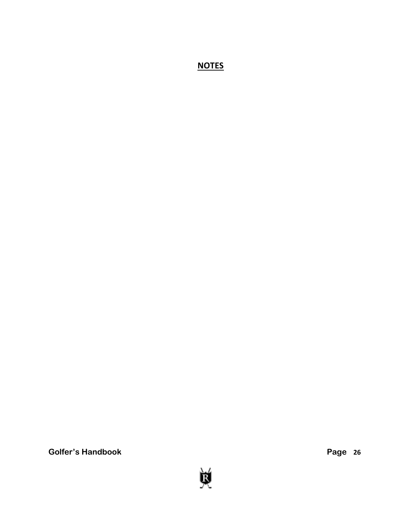**NOTES**

**Golfer's Handbook** 



**26**